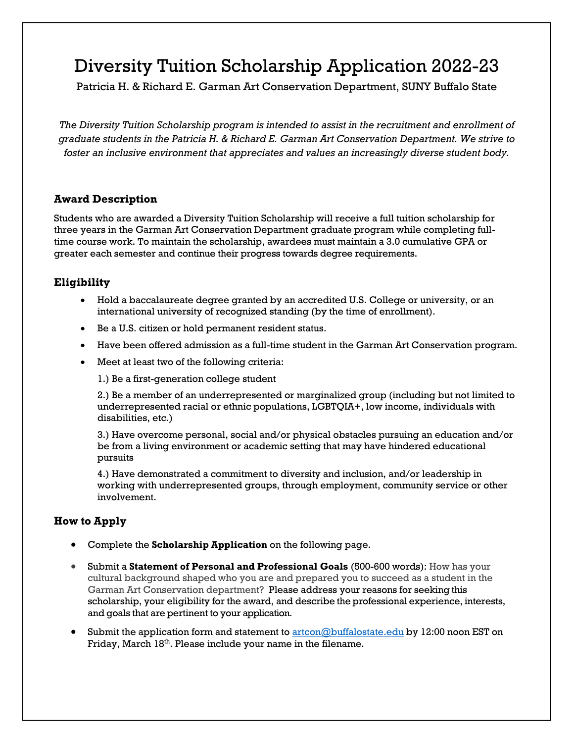## Diversity Tuition Scholarship Application 2022-23

Patricia H. & Richard E. Garman Art Conservation Department, SUNY Buffalo State

*The Diversity Tuition Scholarship program is intended to assist in the recruitment and enrollment of graduate students in the Patricia H. & Richard E. Garman Art Conservation Department. We strive to foster an inclusive environment that appreciates and values an increasingly diverse student body.*

#### **Award Description**

Students who are awarded a Diversity Tuition Scholarship will receive a full tuition scholarship for three years in the Garman Art Conservation Department graduate program while completing fulltime course work. To maintain the scholarship, awardees must maintain a 3.0 cumulative GPA or greater each semester and continue their progress towards degree requirements.

### **Eligibility**

- Hold a baccalaureate degree granted by an accredited U.S. College or university, or an international university of recognized standing (by the time of enrollment).
- Be a U.S. citizen or hold permanent resident status.
- Have been offered admission as a full-time student in the Garman Art Conservation program.
- Meet at least two of the following criteria:

1.) Be a first-generation college student

2.) Be a member of an underrepresented or marginalized group (including but not limited to underrepresented racial or ethnic populations, LGBTQIA+, low income, individuals with disabilities, etc.)

3.) Have overcome personal, social and/or physical obstacles pursuing an education and/or be from a living environment or academic setting that may have hindered educational pursuits

4.) Have demonstrated a commitment to diversity and inclusion, and/or leadership in working with underrepresented groups, through employment, community service or other involvement.

### **How to Apply**

- Complete the **Scholarship Application** on the following page.
- Submit a **Statement of Personal and Professional Goals** (500-600 words): How has your cultural background shaped who you are and prepared you to succeed as a student in the Garman Art Conservation department? Please address your reasons for seeking this scholarship, your eligibility for the award, and describe the professional experience, interests, and goals that are pertinent to your application.
- Submit the application form and statement to **artcon@buffalostate.edu** by 12:00 noon EST on Friday, March 18<sup>th</sup>. Please include your name in the filename.